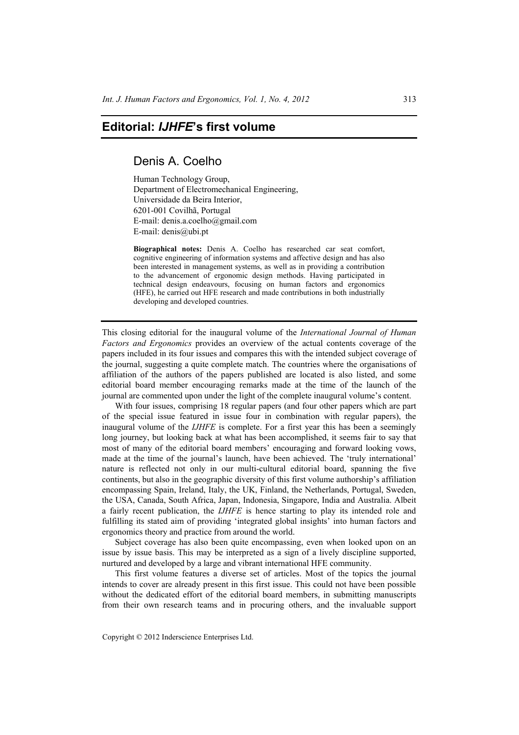## **Editorial:** *IJHFE***'s first volume**

## Denis A. Coelho

Human Technology Group, Department of Electromechanical Engineering, Universidade da Beira Interior, 6201-001 Covilhã, Portugal E-mail: denis.a.coelho@gmail.com E-mail: denis@ubi.pt

**Biographical notes:** Denis A. Coelho has researched car seat comfort, cognitive engineering of information systems and affective design and has also been interested in management systems, as well as in providing a contribution to the advancement of ergonomic design methods. Having participated in technical design endeavours, focusing on human factors and ergonomics (HFE), he carried out HFE research and made contributions in both industrially developing and developed countries.

This closing editorial for the inaugural volume of the *International Journal of Human Factors and Ergonomics* provides an overview of the actual contents coverage of the papers included in its four issues and compares this with the intended subject coverage of the journal, suggesting a quite complete match. The countries where the organisations of affiliation of the authors of the papers published are located is also listed, and some editorial board member encouraging remarks made at the time of the launch of the journal are commented upon under the light of the complete inaugural volume's content.

With four issues, comprising 18 regular papers (and four other papers which are part of the special issue featured in issue four in combination with regular papers), the inaugural volume of the *IJHFE* is complete. For a first year this has been a seemingly long journey, but looking back at what has been accomplished, it seems fair to say that most of many of the editorial board members' encouraging and forward looking vows, made at the time of the journal's launch, have been achieved. The 'truly international' nature is reflected not only in our multi-cultural editorial board, spanning the five continents, but also in the geographic diversity of this first volume authorship's affiliation encompassing Spain, Ireland, Italy, the UK, Finland, the Netherlands, Portugal, Sweden, the USA, Canada, South Africa, Japan, Indonesia, Singapore, India and Australia. Albeit a fairly recent publication, the *IJHFE* is hence starting to play its intended role and fulfilling its stated aim of providing 'integrated global insights' into human factors and ergonomics theory and practice from around the world.

Subject coverage has also been quite encompassing, even when looked upon on an issue by issue basis. This may be interpreted as a sign of a lively discipline supported, nurtured and developed by a large and vibrant international HFE community.

This first volume features a diverse set of articles. Most of the topics the journal intends to cover are already present in this first issue. This could not have been possible without the dedicated effort of the editorial board members, in submitting manuscripts from their own research teams and in procuring others, and the invaluable support